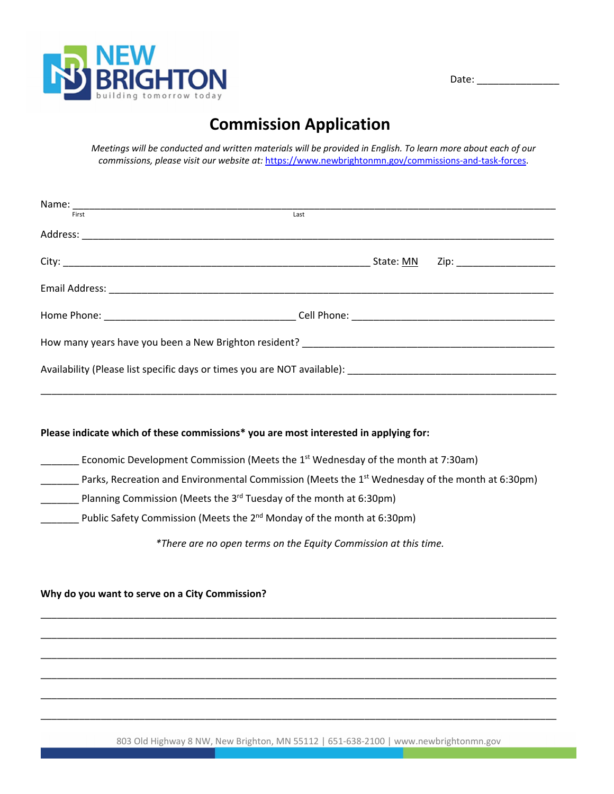

Date: \_\_\_\_\_\_\_\_\_\_\_\_\_\_\_

# **Commission Application**

Meetings will be conducted and written materials will be provided in English. To learn more about each of our *commissions, please visit our website at:* https://www.newbrightonmn.gov/commissions‐and‐task‐forces.

| First<br>Last                                                                                               |
|-------------------------------------------------------------------------------------------------------------|
|                                                                                                             |
|                                                                                                             |
|                                                                                                             |
|                                                                                                             |
|                                                                                                             |
|                                                                                                             |
|                                                                                                             |
|                                                                                                             |
| Please indicate which of these commissions* you are most interested in applying for:                        |
| Economic Development Commission (Meets the 1 <sup>st</sup> Wednesday of the month at 7:30am)                |
| Parks, Recreation and Environmental Commission (Meets the 1 <sup>st</sup> Wednesday of the month at 6:30pm) |
| Planning Commission (Meets the $3^{rd}$ Tuesday of the month at 6:30pm)                                     |
| Public Safety Commission (Meets the 2 <sup>nd</sup> Monday of the month at 6:30pm)                          |
| *There are no open terms on the Equity Commission at this time.                                             |
| Why do you want to serve on a City Commission?                                                              |
|                                                                                                             |
|                                                                                                             |
|                                                                                                             |
|                                                                                                             |
|                                                                                                             |

803 Old Highway 8 NW, New Brighton, MN 55112 | 651-638-2100 | www.newbrightonmn.gov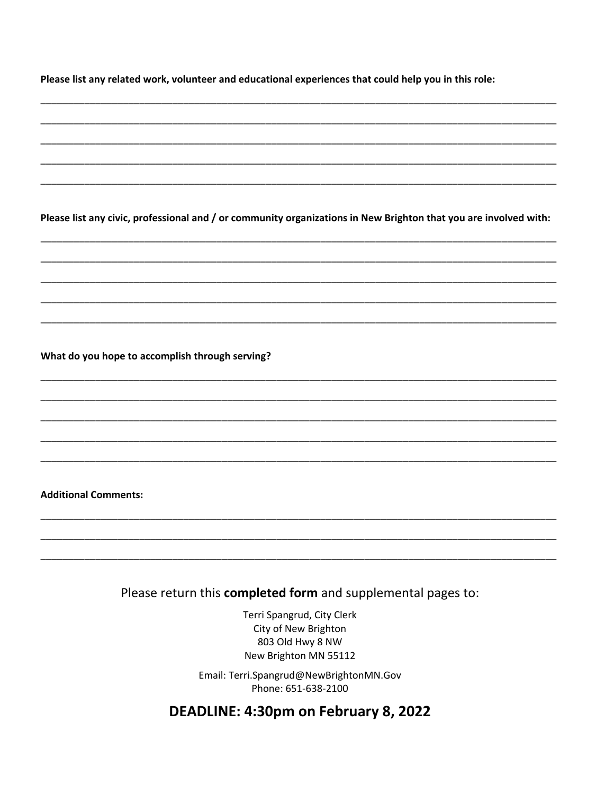Please list any related work, volunteer and educational experiences that could help you in this role:

Please list any civic, professional and / or community organizations in New Brighton that you are involved with:

#### What do you hope to accomplish through serving?

#### **Additional Comments:**

### Please return this completed form and supplemental pages to:

Terri Spangrud, City Clerk City of New Brighton 803 Old Hwy 8 NW New Brighton MN 55112

Email: Terri.Spangrud@NewBrightonMN.Gov Phone: 651-638-2100

### DEADLINE: 4:30pm on February 8, 2022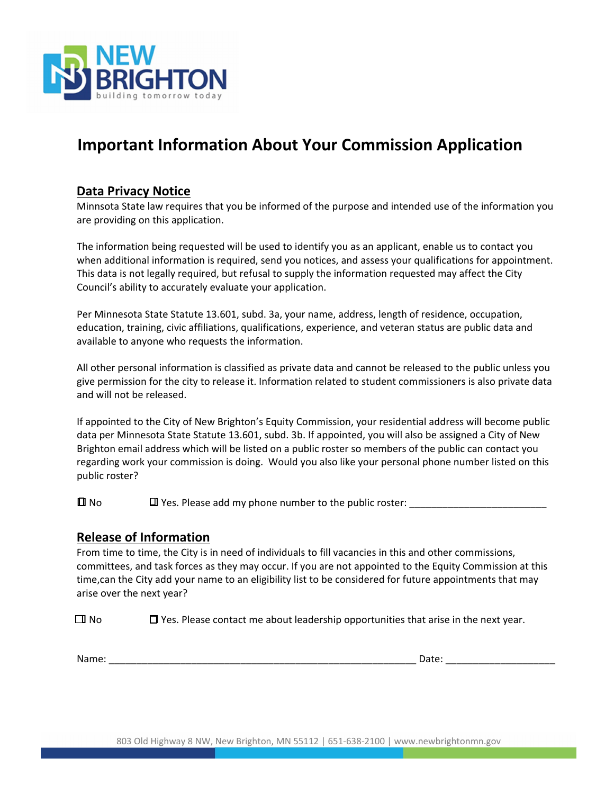

## **Important Information About Your Commission Application**

### **Data Privacy Notice**

Minnsota State law requires that you be informed of the purpose and intended use of the information you are providing on this application.

The information being requested will be used to identify you as an applicant, enable us to contact you when additional information is required, send you notices, and assess your qualifications for appointment. This data is not legally required, but refusal to supply the information requested may affect the City Council's ability to accurately evaluate your application.

Per Minnesota State Statute 13.601, subd. 3a, your name, address, length of residence, occupation, education, training, civic affiliations, qualifications, experience, and veteran status are public data and available to anyone who requests the information.

All other personal information is classified as private data and cannot be released to the public unless you give permission for the city to release it. Information related to student commissioners is also private data and will not be released.

If appointed to the City of New Brighton's Equity Commission, your residential address will become public data per Minnesota State Statute 13.601, subd. 3b. If appointed, you will also be assigned a City of New Brighton email address which will be listed on a public roster so members of the public can contact you regarding work your commission is doing. Would you also like your personal phone number listed on this public roster?

 $\Box$  No  $\Box$  Yes. Please add my phone number to the public roster:

#### **Release of Information**

From time to time, the City is in need of individuals to fill vacancies in this and other commissions, committees, and task forces as they may occur. If you are not appointed to the Equity Commission at this time,can the City add your name to an eligibility list to be considered for future appointments that may arise over the next year?

 $\Box$  No  $\Box$  Yes. Please contact me about leadership opportunities that arise in the next year.

Name: \_\_\_\_\_\_\_\_\_\_\_\_\_\_\_\_\_\_\_\_\_\_\_\_\_\_\_\_\_\_\_\_\_\_\_\_\_\_\_\_\_\_\_\_\_\_\_\_\_\_\_\_\_\_\_\_ Date: \_\_\_\_\_\_\_\_\_\_\_\_\_\_\_\_\_\_\_\_